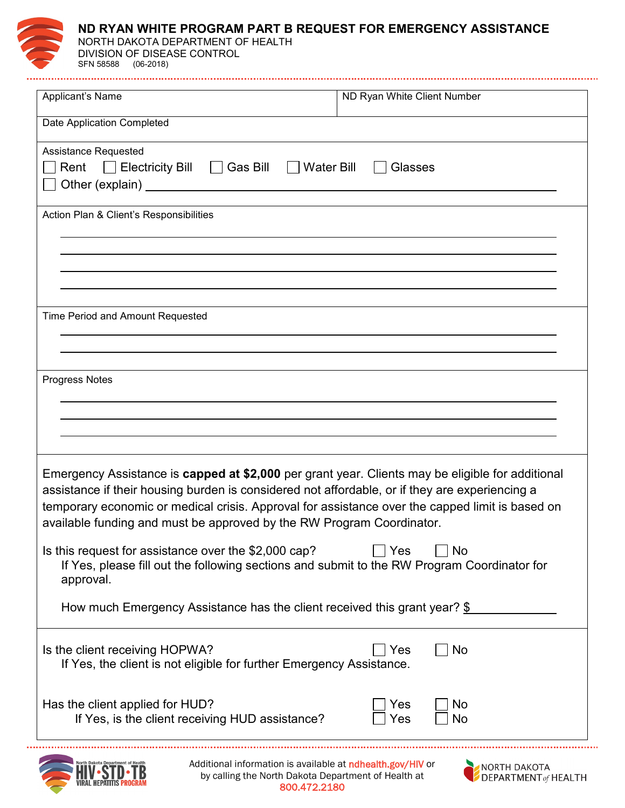

## **ND RYAN WHITE PROGRAM PART B REQUEST FOR EMERGENCY ASSISTANCE**

NORTH DAKOTA DEPARTMENT OF HEALTH DIVISION OF DISEASE CONTROL SFN 58588 (06-2018)

| Applicant's Name                                                                                                                                                                                                                                                                                                                                                               | ND Ryan White Client Number |
|--------------------------------------------------------------------------------------------------------------------------------------------------------------------------------------------------------------------------------------------------------------------------------------------------------------------------------------------------------------------------------|-----------------------------|
| Date Application Completed                                                                                                                                                                                                                                                                                                                                                     |                             |
| <b>Assistance Requested</b><br>Rent Electricity Bill Gas Bill<br><b>Water Bill</b><br>Glasses<br>Other (explain) <u>contracts</u> and the contracts of the contracts of the contracts of the contracts of the contracts of the contracts of the contracts of the contracts of the contracts of the contracts of the contracts of the                                           |                             |
| Action Plan & Client's Responsibilities                                                                                                                                                                                                                                                                                                                                        |                             |
|                                                                                                                                                                                                                                                                                                                                                                                |                             |
|                                                                                                                                                                                                                                                                                                                                                                                |                             |
| Time Period and Amount Requested                                                                                                                                                                                                                                                                                                                                               |                             |
| <b>Progress Notes</b>                                                                                                                                                                                                                                                                                                                                                          |                             |
|                                                                                                                                                                                                                                                                                                                                                                                |                             |
| Emergency Assistance is capped at \$2,000 per grant year. Clients may be eligible for additional<br>assistance if their housing burden is considered not affordable, or if they are experiencing a<br>temporary economic or medical crisis. Approval for assistance over the capped limit is based on<br>available funding and must be approved by the RW Program Coordinator. |                             |
| Is this request for assistance over the \$2,000 cap?<br>Yes<br>No<br>If Yes, please fill out the following sections and submit to the RW Program Coordinator for<br>approval.                                                                                                                                                                                                  |                             |
| How much Emergency Assistance has the client received this grant year? $\S$                                                                                                                                                                                                                                                                                                    |                             |
| No<br>Is the client receiving HOPWA?<br>Yes<br>If Yes, the client is not eligible for further Emergency Assistance.                                                                                                                                                                                                                                                            |                             |
| Has the client applied for HUD?<br>If Yes, is the client receiving HUD assistance?                                                                                                                                                                                                                                                                                             | Yes<br>No<br>No<br>Yes      |
|                                                                                                                                                                                                                                                                                                                                                                                |                             |



Additional information is available at ndhealth.gov/HIV or by calling the North Dakota Department of Health at 800.472.2180